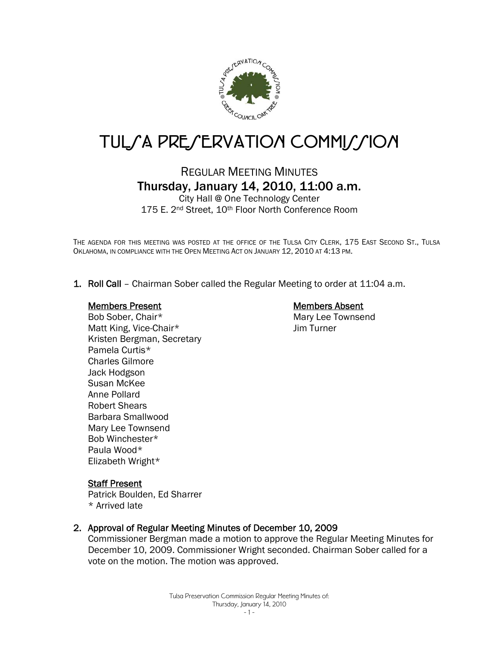

# TUL*SA PRESERVATION COMMISSION*

REGULAR MEETING MINUTES Thursday, January 14, 2010, 11:00 a.m.

City Hall @ One Technology Center 175 E. 2<sup>nd</sup> Street, 10<sup>th</sup> Floor North Conference Room

THE AGENDA FOR THIS MEETING WAS POSTED AT THE OFFICE OF THE TULSA CITY CLERK, 175 EAST SECOND ST., TULSA OKLAHOMA, IN COMPLIANCE WITH THE OPEN MEETING ACT ON JANUARY 12, 2010 AT 4:13 PM.

1. Roll Call – Chairman Sober called the Regular Meeting to order at 11:04 a.m.

#### Members Present

Bob Sober, Chair\* Matt King, Vice-Chair\* Kristen Bergman, Secretary Pamela Curtis\* Charles Gilmore Jack Hodgson Susan McKee Anne Pollard Robert Shears Barbara Smallwood Mary Lee Townsend Bob Winchester\* Paula Wood\* Elizabeth Wright\*

# Members Absent

Mary Lee Townsend Jim Turner

### **Staff Present**

Patrick Boulden, Ed Sharrer \* Arrived late

### 2. Approval of Regular Meeting Minutes of December 10, 2009

Commissioner Bergman made a motion to approve the Regular Meeting Minutes for December 10, 2009. Commissioner Wright seconded. Chairman Sober called for a vote on the motion. The motion was approved.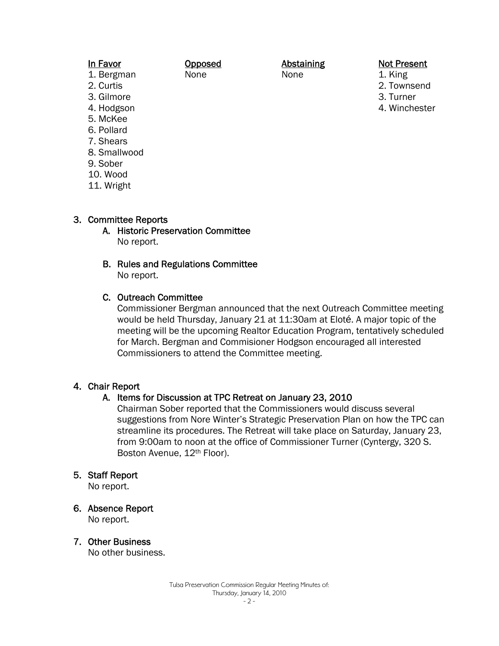| In Favor     | Opposed | Abstaining | <b>Not Present</b> |
|--------------|---------|------------|--------------------|
| 1. Bergman   | None    | None       | 1. King            |
| 2. Curtis    |         |            | 2. Townsend        |
| 3. Gilmore   |         |            | 3. Turner          |
| 4. Hodgson   |         |            | 4. Winchester      |
| 5. McKee     |         |            |                    |
| 6. Pollard   |         |            |                    |
| 7. Shears    |         |            |                    |
| 8. Smallwood |         |            |                    |
| 9 Sober      |         |            |                    |

- 
- 10. Wood
- 11. Wright

### 3. Committee Reports

- A. Historic Preservation Committee No report.
- B. Rules and Regulations Committee No report.
- C. Outreach Committee

Commissioner Bergman announced that the next Outreach Committee meeting would be held Thursday, January 21 at 11:30am at Eloté. A major topic of the meeting will be the upcoming Realtor Education Program, tentatively scheduled for March. Bergman and Commisioner Hodgson encouraged all interested Commissioners to attend the Committee meeting.

### 4. Chair Report

### A. Items for Discussion at TPC Retreat on January 23, 2010

Chairman Sober reported that the Commissioners would discuss several suggestions from Nore Winter's Strategic Preservation Plan on how the TPC can streamline its procedures. The Retreat will take place on Saturday, January 23, from 9:00am to noon at the office of Commissioner Turner (Cyntergy, 320 S. Boston Avenue, 12th Floor).

#### 5. Staff Report

No report.

- 6. Absence Report No report.
- 7. Other Business

No other business.